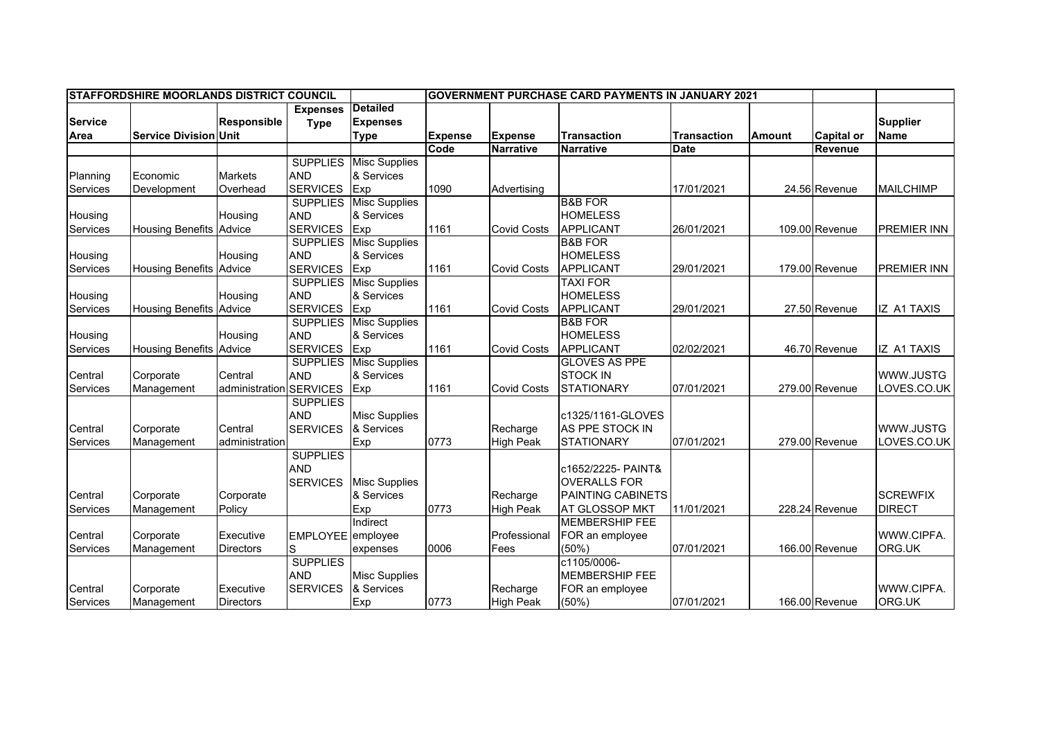| <b>STAFFORDSHIRE MOORLANDS DISTRICT COUNCIL</b> |                                |                    |                   |                      | <b>GOVERNMENT PURCHASE CARD PAYMENTS IN JANUARY 2021</b> |                    |                       |                    |               |                   |                    |
|-------------------------------------------------|--------------------------------|--------------------|-------------------|----------------------|----------------------------------------------------------|--------------------|-----------------------|--------------------|---------------|-------------------|--------------------|
|                                                 |                                |                    | <b>Expenses</b>   | <b>Detailed</b>      |                                                          |                    |                       |                    |               |                   |                    |
| <b>Service</b>                                  |                                | <b>Responsible</b> | <b>Type</b>       | <b>Expenses</b>      |                                                          |                    |                       |                    |               |                   | <b>Supplier</b>    |
| Area                                            | <b>Service Division Unit</b>   |                    |                   | <b>Type</b>          | <b>Expense</b>                                           | <b>Expense</b>     | <b>Transaction</b>    | <b>Transaction</b> | <b>Amount</b> | <b>Capital or</b> | <b>Name</b>        |
|                                                 |                                |                    |                   |                      | Code                                                     | <b>Narrative</b>   | <b>Narrative</b>      | <b>Date</b>        |               | Revenue           |                    |
|                                                 |                                |                    | <b>SUPPLIES</b>   | <b>Misc Supplies</b> |                                                          |                    |                       |                    |               |                   |                    |
| Planning                                        | Economic                       | <b>Markets</b>     | <b>AND</b>        | & Services           |                                                          |                    |                       |                    |               |                   |                    |
| Services                                        | Development                    | Overhead           | <b>SERVICES</b>   | Exp                  | 1090                                                     | Advertisina        |                       | 17/01/2021         |               | 24.56 Revenue     | <b>MAILCHIMP</b>   |
|                                                 |                                |                    | <b>SUPPLIES</b>   | <b>Misc Supplies</b> |                                                          |                    | <b>B&amp;B FOR</b>    |                    |               |                   |                    |
| Housing                                         |                                | Housing            | <b>AND</b>        | & Services           |                                                          |                    | <b>HOMELESS</b>       |                    |               |                   |                    |
| Services                                        | Housing Benefits Advice        |                    | <b>SERVICES</b>   | Exp                  | 1161                                                     | <b>Covid Costs</b> | <b>APPLICANT</b>      | 26/01/2021         |               | 109.00 Revenue    | <b>PREMIER INN</b> |
|                                                 |                                |                    | <b>SUPPLIES</b>   | <b>Misc Supplies</b> |                                                          |                    | <b>B&amp;B FOR</b>    |                    |               |                   |                    |
| Housing                                         |                                | Housing            | <b>AND</b>        | & Services           |                                                          |                    | <b>HOMELESS</b>       |                    |               |                   |                    |
| Services                                        | <b>Housing Benefits</b>        | Advice             | <b>SERVICES</b>   | Exp                  | 1161                                                     | <b>Covid Costs</b> | <b>APPLICANT</b>      | 29/01/2021         |               | 179.00 Revenue    | <b>PREMIER INN</b> |
|                                                 |                                |                    | <b>SUPPLIES</b>   | <b>Misc Supplies</b> |                                                          |                    | <b>TAXI FOR</b>       |                    |               |                   |                    |
| Housing                                         |                                | Housing            | <b>AND</b>        | & Services           |                                                          |                    | <b>HOMELESS</b>       |                    |               |                   |                    |
| Services                                        | <b>Housing Benefits</b>        | Advice             | <b>SERVICES</b>   | Exp                  | 1161                                                     | <b>Covid Costs</b> | <b>APPLICANT</b>      | 29/01/2021         |               | 27.50 Revenue     | <b>IZ A1 TAXIS</b> |
|                                                 |                                |                    | <b>SUPPLIES</b>   | <b>Misc Supplies</b> |                                                          |                    | <b>B&amp;B FOR</b>    |                    |               |                   |                    |
| Housing                                         |                                | Housing            | <b>AND</b>        | & Services           |                                                          |                    | <b>HOMELESS</b>       |                    |               |                   |                    |
| Services                                        | <b>Housing Benefits Advice</b> |                    | <b>SERVICES</b>   | Exp                  | 1161                                                     | <b>Covid Costs</b> | <b>APPLICANT</b>      | 02/02/2021         |               | 46.70 Revenue     | <b>IZ A1 TAXIS</b> |
|                                                 |                                |                    | <b>SUPPLIES</b>   | <b>Misc Supplies</b> |                                                          |                    | <b>GLOVES AS PPE</b>  |                    |               |                   |                    |
| Central                                         | Corporate                      | Central            | <b>AND</b>        | & Services           |                                                          |                    | <b>STOCK IN</b>       |                    |               |                   | WWW.JUSTG          |
| Services                                        | Management                     | administration     | <b>SERVICES</b>   | Exp                  | 1161                                                     | <b>Covid Costs</b> | <b>STATIONARY</b>     | 07/01/2021         |               | 279.00 Revenue    | LOVES.CO.UK        |
|                                                 |                                |                    | <b>SUPPLIES</b>   |                      |                                                          |                    |                       |                    |               |                   |                    |
|                                                 |                                |                    | <b>AND</b>        | <b>Misc Supplies</b> |                                                          |                    | c1325/1161-GLOVES     |                    |               |                   |                    |
| Central                                         | Corporate                      | Central            | <b>SERVICES</b>   | & Services           |                                                          | Recharge           | AS PPE STOCK IN       |                    |               |                   | WWW.JUSTG          |
| Services                                        | Management                     | administration     |                   | Exp                  | 0773                                                     | <b>High Peak</b>   | <b>STATIONARY</b>     | 07/01/2021         |               | 279.00 Revenue    | LOVES.CO.UK        |
|                                                 |                                |                    | <b>SUPPLIES</b>   |                      |                                                          |                    |                       |                    |               |                   |                    |
|                                                 |                                |                    | <b>AND</b>        |                      |                                                          |                    | c1652/2225- PAINT&    |                    |               |                   |                    |
|                                                 |                                |                    | <b>SERVICES</b>   | <b>Misc Supplies</b> |                                                          |                    | <b>OVERALLS FOR</b>   |                    |               |                   |                    |
| Central                                         | Corporate                      | Corporate          |                   | & Services           |                                                          | Recharge           | PAINTING CABINETS     |                    |               |                   | <b>SCREWFIX</b>    |
| Services                                        | Management                     | Policy             |                   | Exp                  | 0773                                                     | <b>High Peak</b>   | <b>AT GLOSSOP MKT</b> | 11/01/2021         |               | 228.24 Revenue    | <b>DIRECT</b>      |
|                                                 |                                |                    |                   | Indirect             |                                                          |                    | <b>MEMBERSHIP FEE</b> |                    |               |                   |                    |
| Central                                         | Corporate                      | Executive          | EMPLOYEE employee |                      |                                                          | Professional       | FOR an employee       |                    |               |                   | WWW.CIPFA.         |
| <b>Services</b>                                 | Management                     | <b>Directors</b>   | S                 | expenses             | 0006                                                     | Fees               | (50%                  | 07/01/2021         |               | 166.00 Revenue    | ORG.UK             |
|                                                 |                                |                    | <b>SUPPLIES</b>   |                      |                                                          |                    | c1105/0006-           |                    |               |                   |                    |
|                                                 |                                |                    | <b>AND</b>        | <b>Misc Supplies</b> |                                                          |                    | <b>MEMBERSHIP FEE</b> |                    |               |                   |                    |
| Central                                         | Corporate                      | Executive          | <b>SERVICES</b>   | & Services           |                                                          | Recharge           | FOR an employee       |                    |               |                   | WWW.CIPFA.         |
| Services                                        | Management                     | <b>Directors</b>   |                   | Exp                  | 0773                                                     | <b>High Peak</b>   | (50%)                 | 07/01/2021         |               | 166.00 Revenue    | ORG.UK             |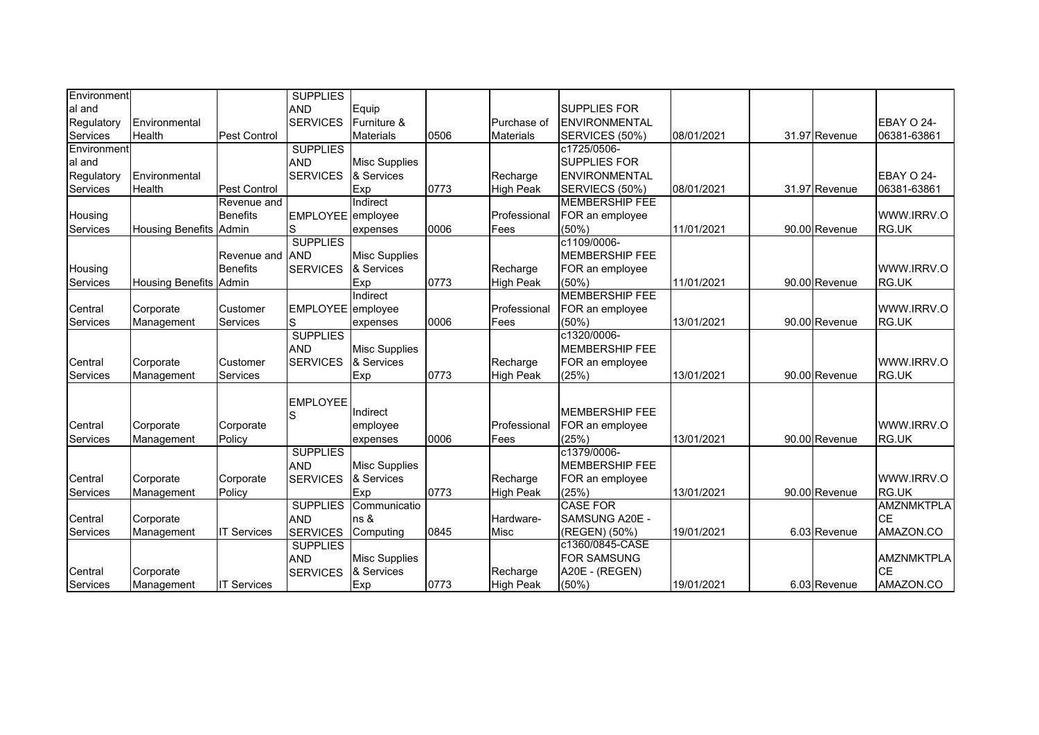| <b>SUPPLIES FOR</b><br>al and<br><b>AND</b><br>Equip<br><b>SERVICES</b><br>Regulatory<br>Furniture &<br><b>ENVIRONMENTAL</b><br><b>EBAY O 24-</b><br>Environmental<br>Purchase of<br>Pest Control<br>0506<br>Services<br>Health<br><b>Materials</b><br>Materials<br>SERVICES (50%)<br>08/01/2021<br>31.97 Revenue<br>06381-63861<br><b>SUPPLIES</b><br>c1725/0506-<br>Environment<br><b>AND</b><br><b>SUPPLIES FOR</b><br>al and<br><b>Misc Supplies</b><br><b>SERVICES</b><br>& Services<br>Recharge<br><b>ENVIRONMENTAL</b><br>Regulatory<br>Environmental<br>0773<br>Services<br>Health<br><b>Pest Control</b><br><b>High Peak</b><br>SERVIECS (50%)<br>31.97 Revenue<br>08/01/2021<br>Exp<br><b>MEMBERSHIP FEE</b><br>Revenue and<br>Indirect<br><b>Benefits</b><br>EMPLOYEE employee<br>Professional<br>FOR an employee<br>Housing<br>RG.UK<br>Services<br>0006<br>$(50\%)$<br>11/01/2021<br>90.00 Revenue<br><b>Housing Benefits</b><br>Admin<br>S<br>Fees<br>expenses<br><b>SUPPLIES</b><br>c1109/0006-<br><b>Misc Supplies</b><br><b>MEMBERSHIP FEE</b><br>Revenue and<br><b>AND</b><br><b>SERVICES</b><br>& Services<br><b>Benefits</b><br>Recharge<br>FOR an employee<br>Housing<br>0773<br>(50%)<br>11/01/2021<br>RG.UK<br>Services<br><b>Housing Benefits</b><br><b>High Peak</b><br>90.00 Revenue<br>Admin<br>Exp | Environment |  | <b>SUPPLIES</b> |  |  |  |                   |
|--------------------------------------------------------------------------------------------------------------------------------------------------------------------------------------------------------------------------------------------------------------------------------------------------------------------------------------------------------------------------------------------------------------------------------------------------------------------------------------------------------------------------------------------------------------------------------------------------------------------------------------------------------------------------------------------------------------------------------------------------------------------------------------------------------------------------------------------------------------------------------------------------------------------------------------------------------------------------------------------------------------------------------------------------------------------------------------------------------------------------------------------------------------------------------------------------------------------------------------------------------------------------------------------------------------------------------|-------------|--|-----------------|--|--|--|-------------------|
|                                                                                                                                                                                                                                                                                                                                                                                                                                                                                                                                                                                                                                                                                                                                                                                                                                                                                                                                                                                                                                                                                                                                                                                                                                                                                                                                |             |  |                 |  |  |  |                   |
|                                                                                                                                                                                                                                                                                                                                                                                                                                                                                                                                                                                                                                                                                                                                                                                                                                                                                                                                                                                                                                                                                                                                                                                                                                                                                                                                |             |  |                 |  |  |  |                   |
|                                                                                                                                                                                                                                                                                                                                                                                                                                                                                                                                                                                                                                                                                                                                                                                                                                                                                                                                                                                                                                                                                                                                                                                                                                                                                                                                |             |  |                 |  |  |  |                   |
|                                                                                                                                                                                                                                                                                                                                                                                                                                                                                                                                                                                                                                                                                                                                                                                                                                                                                                                                                                                                                                                                                                                                                                                                                                                                                                                                |             |  |                 |  |  |  |                   |
|                                                                                                                                                                                                                                                                                                                                                                                                                                                                                                                                                                                                                                                                                                                                                                                                                                                                                                                                                                                                                                                                                                                                                                                                                                                                                                                                |             |  |                 |  |  |  |                   |
|                                                                                                                                                                                                                                                                                                                                                                                                                                                                                                                                                                                                                                                                                                                                                                                                                                                                                                                                                                                                                                                                                                                                                                                                                                                                                                                                |             |  |                 |  |  |  | EBAY O 24-        |
|                                                                                                                                                                                                                                                                                                                                                                                                                                                                                                                                                                                                                                                                                                                                                                                                                                                                                                                                                                                                                                                                                                                                                                                                                                                                                                                                |             |  |                 |  |  |  | 06381-63861       |
|                                                                                                                                                                                                                                                                                                                                                                                                                                                                                                                                                                                                                                                                                                                                                                                                                                                                                                                                                                                                                                                                                                                                                                                                                                                                                                                                |             |  |                 |  |  |  |                   |
|                                                                                                                                                                                                                                                                                                                                                                                                                                                                                                                                                                                                                                                                                                                                                                                                                                                                                                                                                                                                                                                                                                                                                                                                                                                                                                                                |             |  |                 |  |  |  | WWW.IRRV.O        |
|                                                                                                                                                                                                                                                                                                                                                                                                                                                                                                                                                                                                                                                                                                                                                                                                                                                                                                                                                                                                                                                                                                                                                                                                                                                                                                                                |             |  |                 |  |  |  |                   |
|                                                                                                                                                                                                                                                                                                                                                                                                                                                                                                                                                                                                                                                                                                                                                                                                                                                                                                                                                                                                                                                                                                                                                                                                                                                                                                                                |             |  |                 |  |  |  |                   |
|                                                                                                                                                                                                                                                                                                                                                                                                                                                                                                                                                                                                                                                                                                                                                                                                                                                                                                                                                                                                                                                                                                                                                                                                                                                                                                                                |             |  |                 |  |  |  |                   |
|                                                                                                                                                                                                                                                                                                                                                                                                                                                                                                                                                                                                                                                                                                                                                                                                                                                                                                                                                                                                                                                                                                                                                                                                                                                                                                                                |             |  |                 |  |  |  | WWW.IRRV.O        |
|                                                                                                                                                                                                                                                                                                                                                                                                                                                                                                                                                                                                                                                                                                                                                                                                                                                                                                                                                                                                                                                                                                                                                                                                                                                                                                                                |             |  |                 |  |  |  |                   |
| <b>MEMBERSHIP FEE</b><br>Indirect                                                                                                                                                                                                                                                                                                                                                                                                                                                                                                                                                                                                                                                                                                                                                                                                                                                                                                                                                                                                                                                                                                                                                                                                                                                                                              |             |  |                 |  |  |  |                   |
| Central<br>Customer<br>Corporate<br>EMPLOYEE employee<br>Professional<br>FOR an employee                                                                                                                                                                                                                                                                                                                                                                                                                                                                                                                                                                                                                                                                                                                                                                                                                                                                                                                                                                                                                                                                                                                                                                                                                                       |             |  |                 |  |  |  | WWW.IRRV.O        |
| (50%)<br>RG.UK<br>Services<br>Services<br>0006<br>13/01/2021<br>90.00 Revenue<br>S<br>Fees<br>Management<br>expenses                                                                                                                                                                                                                                                                                                                                                                                                                                                                                                                                                                                                                                                                                                                                                                                                                                                                                                                                                                                                                                                                                                                                                                                                           |             |  |                 |  |  |  |                   |
| <b>SUPPLIES</b><br>c1320/0006-                                                                                                                                                                                                                                                                                                                                                                                                                                                                                                                                                                                                                                                                                                                                                                                                                                                                                                                                                                                                                                                                                                                                                                                                                                                                                                 |             |  |                 |  |  |  |                   |
| <b>AND</b><br><b>MEMBERSHIP FEE</b><br><b>Misc Supplies</b>                                                                                                                                                                                                                                                                                                                                                                                                                                                                                                                                                                                                                                                                                                                                                                                                                                                                                                                                                                                                                                                                                                                                                                                                                                                                    |             |  |                 |  |  |  |                   |
| Customer<br><b>SERVICES</b><br>& Services<br>Recharge<br>FOR an employee<br>Central<br>Corporate                                                                                                                                                                                                                                                                                                                                                                                                                                                                                                                                                                                                                                                                                                                                                                                                                                                                                                                                                                                                                                                                                                                                                                                                                               |             |  |                 |  |  |  | WWW.IRRV.O        |
| 0773<br>(25%)<br>13/01/2021<br>RG.UK<br>Services<br>Services<br><b>High Peak</b><br>90.00 Revenue<br>Management<br>Exp                                                                                                                                                                                                                                                                                                                                                                                                                                                                                                                                                                                                                                                                                                                                                                                                                                                                                                                                                                                                                                                                                                                                                                                                         |             |  |                 |  |  |  |                   |
|                                                                                                                                                                                                                                                                                                                                                                                                                                                                                                                                                                                                                                                                                                                                                                                                                                                                                                                                                                                                                                                                                                                                                                                                                                                                                                                                |             |  |                 |  |  |  |                   |
| <b>EMPLOYEE</b><br><b>MEMBERSHIP FEE</b><br>Indirect                                                                                                                                                                                                                                                                                                                                                                                                                                                                                                                                                                                                                                                                                                                                                                                                                                                                                                                                                                                                                                                                                                                                                                                                                                                                           |             |  |                 |  |  |  |                   |
| S<br>Professional<br>FOR an employee<br>Central                                                                                                                                                                                                                                                                                                                                                                                                                                                                                                                                                                                                                                                                                                                                                                                                                                                                                                                                                                                                                                                                                                                                                                                                                                                                                |             |  |                 |  |  |  | WWW.IRRV.O        |
| Corporate<br>Corporate<br>employee<br>Policy<br>0006<br>(25%)<br>13/01/2021<br>RG.UK<br>Services<br>Fees<br>90.00 Revenue                                                                                                                                                                                                                                                                                                                                                                                                                                                                                                                                                                                                                                                                                                                                                                                                                                                                                                                                                                                                                                                                                                                                                                                                      |             |  |                 |  |  |  |                   |
| Management<br>expenses<br><b>SUPPLIES</b><br>c1379/0006-                                                                                                                                                                                                                                                                                                                                                                                                                                                                                                                                                                                                                                                                                                                                                                                                                                                                                                                                                                                                                                                                                                                                                                                                                                                                       |             |  |                 |  |  |  |                   |
| <b>AND</b><br><b>Misc Supplies</b><br><b>MEMBERSHIP FEE</b>                                                                                                                                                                                                                                                                                                                                                                                                                                                                                                                                                                                                                                                                                                                                                                                                                                                                                                                                                                                                                                                                                                                                                                                                                                                                    |             |  |                 |  |  |  |                   |
| <b>SERVICES</b><br>& Services<br>Corporate<br>Recharge<br>FOR an employee<br>Central<br>Corporate                                                                                                                                                                                                                                                                                                                                                                                                                                                                                                                                                                                                                                                                                                                                                                                                                                                                                                                                                                                                                                                                                                                                                                                                                              |             |  |                 |  |  |  | WWW.IRRV.O        |
| 0773<br>Policy<br><b>High Peak</b><br>(25%)<br>13/01/2021<br>RG.UK<br>90.00 Revenue<br>Services<br>Exp                                                                                                                                                                                                                                                                                                                                                                                                                                                                                                                                                                                                                                                                                                                                                                                                                                                                                                                                                                                                                                                                                                                                                                                                                         |             |  |                 |  |  |  |                   |
| Management<br><b>CASE FOR</b><br><b>SUPPLIES</b><br>Communicatio                                                                                                                                                                                                                                                                                                                                                                                                                                                                                                                                                                                                                                                                                                                                                                                                                                                                                                                                                                                                                                                                                                                                                                                                                                                               |             |  |                 |  |  |  | <b>AMZNMKTPLA</b> |
| <b>CE</b><br>Central<br><b>AND</b><br>SAMSUNG A20E -<br>ns &<br>Hardware-<br>Corporate                                                                                                                                                                                                                                                                                                                                                                                                                                                                                                                                                                                                                                                                                                                                                                                                                                                                                                                                                                                                                                                                                                                                                                                                                                         |             |  |                 |  |  |  |                   |
| 0845<br>Services<br><b>IT Services</b><br><b>Misc</b><br>(REGEN) (50%)<br>19/01/2021<br>6.03 Revenue<br><b>SERVICES</b><br>Computing<br>Management                                                                                                                                                                                                                                                                                                                                                                                                                                                                                                                                                                                                                                                                                                                                                                                                                                                                                                                                                                                                                                                                                                                                                                             |             |  |                 |  |  |  | AMAZON.CO         |
| c1360/0845-CASE<br><b>SUPPLIES</b>                                                                                                                                                                                                                                                                                                                                                                                                                                                                                                                                                                                                                                                                                                                                                                                                                                                                                                                                                                                                                                                                                                                                                                                                                                                                                             |             |  |                 |  |  |  |                   |
| <b>Misc Supplies</b><br><b>FOR SAMSUNG</b><br><b>AND</b>                                                                                                                                                                                                                                                                                                                                                                                                                                                                                                                                                                                                                                                                                                                                                                                                                                                                                                                                                                                                                                                                                                                                                                                                                                                                       |             |  |                 |  |  |  | <b>AMZNMKTPLA</b> |
| <b>CE</b><br>Central<br>& Services<br>A20E - (REGEN)<br>Corporate<br>Recharge<br><b>SERVICES</b>                                                                                                                                                                                                                                                                                                                                                                                                                                                                                                                                                                                                                                                                                                                                                                                                                                                                                                                                                                                                                                                                                                                                                                                                                               |             |  |                 |  |  |  |                   |
| 0773<br>19/01/2021<br>Services<br><b>IT Services</b><br><b>High Peak</b><br>(50%)<br>6.03 Revenue<br>AMAZON.CO<br>Exp<br>Management                                                                                                                                                                                                                                                                                                                                                                                                                                                                                                                                                                                                                                                                                                                                                                                                                                                                                                                                                                                                                                                                                                                                                                                            |             |  |                 |  |  |  |                   |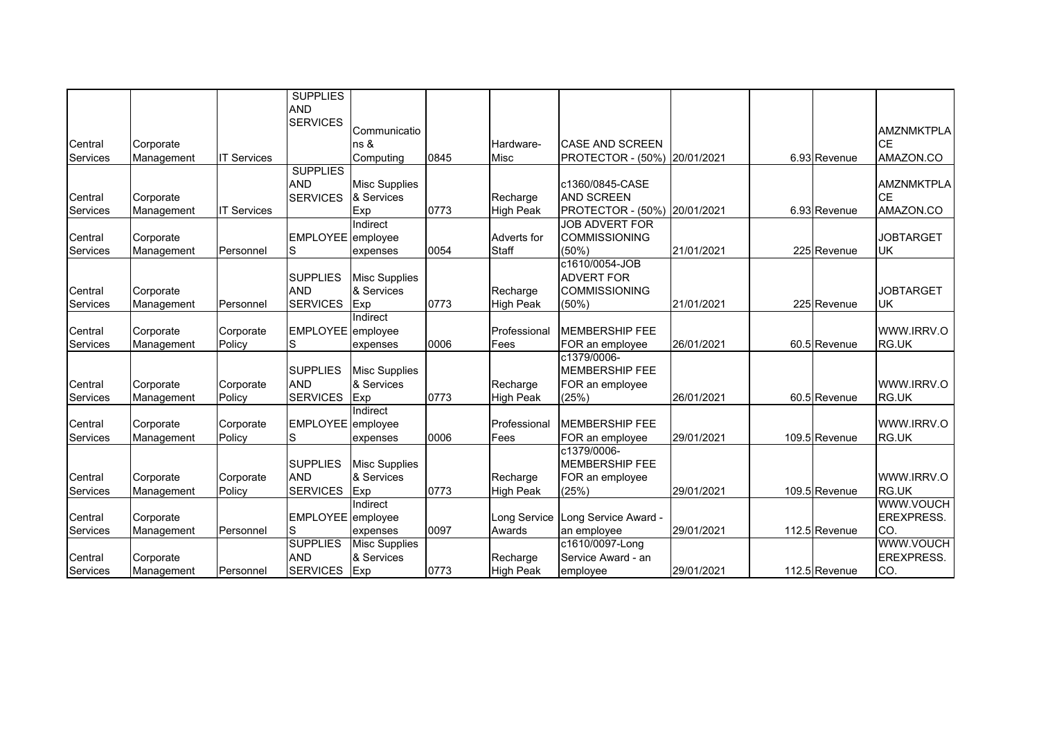|          |            |                    | <b>SUPPLIES</b><br><b>AND</b> |                                    |      |                  |                                      |            |               |                                |
|----------|------------|--------------------|-------------------------------|------------------------------------|------|------------------|--------------------------------------|------------|---------------|--------------------------------|
|          |            |                    | <b>SERVICES</b>               |                                    |      |                  |                                      |            |               |                                |
|          |            |                    |                               | Communicatio                       |      |                  |                                      |            |               | AMZNMKTPLA                     |
| Central  | Corporate  |                    |                               | ns &                               |      | Hardware-        | <b>CASE AND SCREEN</b>               |            |               | <b>CE</b>                      |
| Services | Management | <b>IT Services</b> |                               | Computing                          | 0845 | Misc             | PROTECTOR - (50%) 20/01/2021         |            | 6.93 Revenue  | AMAZON.CO                      |
|          |            |                    | <b>SUPPLIES</b><br><b>AND</b> |                                    |      |                  |                                      |            |               |                                |
| Central  | Corporate  |                    | <b>SERVICES</b>               | <b>Misc Supplies</b><br>& Services |      | Recharge         | c1360/0845-CASE<br><b>AND SCREEN</b> |            |               | <b>AMZNMKTPLA</b><br><b>CE</b> |
| Services |            | <b>IT Services</b> |                               | Exp                                | 0773 | <b>High Peak</b> | PROTECTOR - (50%) 20/01/2021         |            | 6.93 Revenue  | AMAZON.CO                      |
|          | Management |                    |                               | Indirect                           |      |                  | <b>JOB ADVERT FOR</b>                |            |               |                                |
| Central  | Corporate  |                    | EMPLOYEE employee             |                                    |      | Adverts for      | <b>COMMISSIONING</b>                 |            |               | <b>JOBTARGET</b>               |
| Services | Management | Personnel          | S                             | expenses                           | 0054 | Staff            | (50%)                                | 21/01/2021 | 225 Revenue   | UK                             |
|          |            |                    |                               |                                    |      |                  | c1610/0054-JOB                       |            |               |                                |
|          |            |                    | <b>SUPPLIES</b>               | <b>Misc Supplies</b>               |      |                  | <b>ADVERT FOR</b>                    |            |               |                                |
| Central  | Corporate  |                    | <b>AND</b>                    | & Services                         |      | Recharge         | <b>COMMISSIONING</b>                 |            |               | <b>JOBTARGET</b>               |
| Services | Management | Personnel          | <b>SERVICES</b>               | Exp                                | 0773 | <b>High Peak</b> | (50%)                                | 21/01/2021 | 225 Revenue   | UK                             |
|          |            |                    |                               | Indirect                           |      |                  |                                      |            |               |                                |
| Central  | Corporate  | Corporate          | EMPLOYEE employee             |                                    |      | Professional     | <b>MEMBERSHIP FEE</b>                |            |               | WWW.IRRV.O                     |
| Services | Management | Policy             | S                             | expenses                           | 0006 | Fees             | FOR an employee                      | 26/01/2021 | 60.5 Revenue  | RG.UK                          |
|          |            |                    |                               |                                    |      |                  | c1379/0006-                          |            |               |                                |
|          |            |                    | <b>SUPPLIES</b>               | <b>Misc Supplies</b>               |      |                  | <b>MEMBERSHIP FEE</b>                |            |               |                                |
| Central  | Corporate  | Corporate          | <b>AND</b>                    | & Services                         |      | Recharge         | FOR an employee                      |            |               | WWW.IRRV.O                     |
| Services | Management | Policy             | <b>SERVICES</b>               | Exp                                | 0773 | <b>High Peak</b> | (25%)                                | 26/01/2021 | 60.5 Revenue  | RG.UK                          |
|          |            |                    |                               | Indirect                           |      |                  |                                      |            |               |                                |
| Central  | Corporate  | Corporate          | EMPLOYEE employee             |                                    |      | Professional     | <b>MEMBERSHIP FEE</b>                |            |               | WWW.IRRV.O                     |
| Services | Management | Policy             | S                             | expenses                           | 0006 | Fees             | FOR an employee                      | 29/01/2021 | 109.5 Revenue | RG.UK                          |
|          |            |                    |                               |                                    |      |                  | c1379/0006-                          |            |               |                                |
|          |            |                    | <b>SUPPLIES</b>               | <b>Misc Supplies</b>               |      |                  | <b>MEMBERSHIP FEE</b>                |            |               |                                |
| Central  | Corporate  | Corporate          | <b>AND</b>                    | & Services                         |      | Recharge         | FOR an employee                      |            |               | WWW.IRRV.O                     |
| Services | Management | Policy             | <b>SERVICES</b>               | Exp                                | 0773 | <b>High Peak</b> | (25%)                                | 29/01/2021 | 109.5 Revenue | RG.UK                          |
| Central  |            |                    |                               | Indirect                           |      |                  |                                      |            |               | WWW.VOUCH<br><b>EREXPRESS.</b> |
|          | Corporate  |                    | EMPLOYEE employee             |                                    | 0097 | Long Service     | Long Service Award -                 | 29/01/2021 |               | CO.                            |
| Services | Management | Personnel          | S<br><b>SUPPLIES</b>          | expenses<br><b>Misc Supplies</b>   |      | Awards           | an employee<br>c1610/0097-Long       |            | 112.5 Revenue | WWW.VOUCH                      |
| Central  | Corporate  |                    | <b>AND</b>                    | & Services                         |      | Recharge         | Service Award - an                   |            |               | <b>EREXPRESS.</b>              |
| Services | Management | Personnel          | <b>SERVICES</b>               | Exp                                | 0773 | <b>High Peak</b> | employee                             | 29/01/2021 | 112.5 Revenue | CO.                            |
|          |            |                    |                               |                                    |      |                  |                                      |            |               |                                |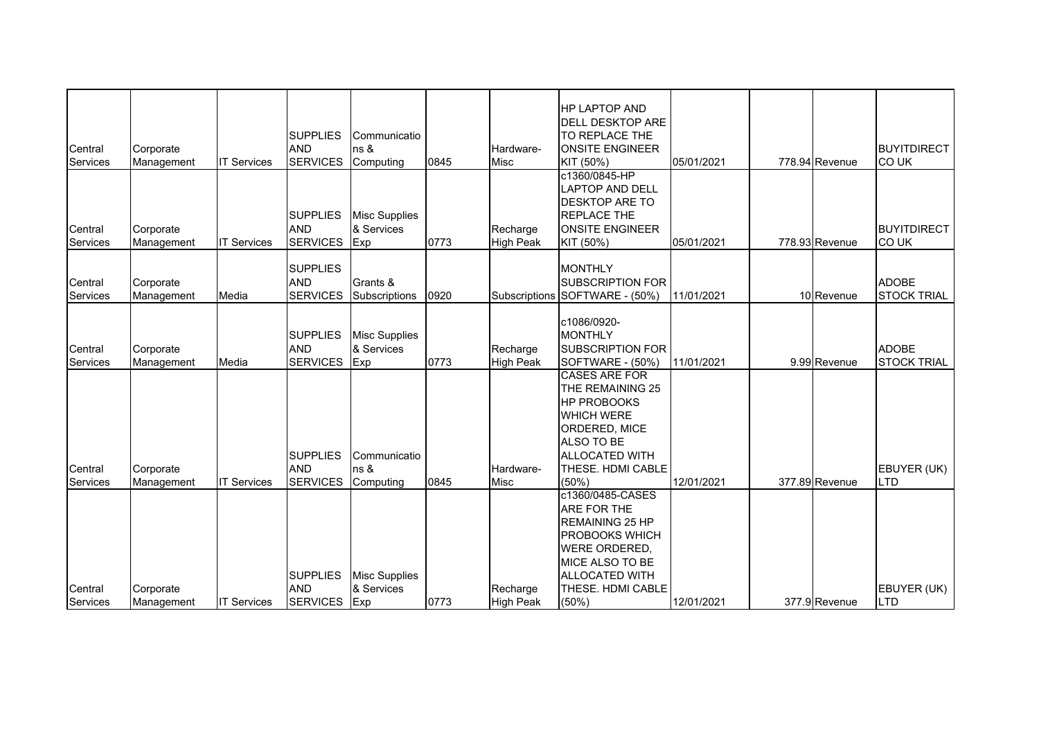| Central<br>Services        | Corporate<br>Management | <b>IT Services</b> | <b>SUPPLIES</b><br><b>AND</b><br><b>SERVICES</b> | Communicatio<br>ns &<br>Computing         | 0845 | Hardware-<br>Misc            | HP LAPTOP AND<br>DELL DESKTOP ARE<br>TO REPLACE THE<br><b>ONSITE ENGINEER</b><br>KIT (50%)                                                                                       | 05/01/2021 | 778.94 Revenue | <b>BUYITDIRECT</b><br>CO UK            |
|----------------------------|-------------------------|--------------------|--------------------------------------------------|-------------------------------------------|------|------------------------------|----------------------------------------------------------------------------------------------------------------------------------------------------------------------------------|------------|----------------|----------------------------------------|
| Central<br>Services        | Corporate<br>Management | <b>IT Services</b> | <b>SUPPLIES</b><br><b>AND</b><br><b>SERVICES</b> | <b>Misc Supplies</b><br>& Services<br>Exp | 0773 | Recharge<br><b>High Peak</b> | c1360/0845-HP<br><b>LAPTOP AND DELL</b><br><b>DESKTOP ARE TO</b><br><b>REPLACE THE</b><br><b>ONSITE ENGINEER</b><br>KIT (50%)                                                    | 05/01/2021 | 778.93 Revenue | <b>BUYITDIRECT</b><br>CO <sub>UK</sub> |
| Central<br><b>Services</b> | Corporate<br>Management | Media              | <b>SUPPLIES</b><br><b>AND</b><br><b>SERVICES</b> | Grants &<br>Subscriptions                 | 0920 | <b>Subscriptions</b>         | <b>MONTHLY</b><br><b>SUBSCRIPTION FOR</b><br>SOFTWARE - (50%)                                                                                                                    | 11/01/2021 | 10 Revenue     | <b>ADOBE</b><br><b>STOCK TRIAL</b>     |
| Central<br><b>Services</b> | Corporate<br>Management | Media              | <b>SUPPLIES</b><br><b>AND</b><br><b>SERVICES</b> | <b>Misc Supplies</b><br>& Services<br>Exp | 0773 | Recharge<br><b>High Peak</b> | c1086/0920-<br><b>MONTHLY</b><br><b>SUBSCRIPTION FOR</b><br>SOFTWARE - (50%)                                                                                                     | 11/01/2021 | 9.99 Revenue   | <b>ADOBE</b><br><b>STOCK TRIAL</b>     |
| Central<br><b>Services</b> | Corporate<br>Management | <b>IT Services</b> | <b>SUPPLIES</b><br><b>AND</b><br><b>SERVICES</b> | Communicatio<br>ns &<br>Computing         | 0845 | Hardware-<br>Misc            | <b>CASES ARE FOR</b><br>THE REMAINING 25<br><b>HP PROBOOKS</b><br><b>WHICH WERE</b><br><b>ORDERED, MICE</b><br>ALSO TO BE<br><b>ALLOCATED WITH</b><br>THESE. HDMI CABLE<br>(50%) | 12/01/2021 | 377.89 Revenue | EBUYER (UK)<br>LTD                     |
| Central<br>Services        | Corporate<br>Management | <b>IT Services</b> | <b>SUPPLIES</b><br><b>AND</b><br><b>SERVICES</b> | <b>Misc Supplies</b><br>& Services<br>Exp | 0773 | Recharge<br><b>High Peak</b> | c1360/0485-CASES<br>ARE FOR THE<br><b>REMAINING 25 HP</b><br>PROBOOKS WHICH<br>WERE ORDERED,<br><b>MICE ALSO TO BE</b><br><b>ALLOCATED WITH</b><br>THESE. HDMI CABLE<br>(50%)    | 12/01/2021 | 377.9 Revenue  | EBUYER (UK)<br><b>LTD</b>              |